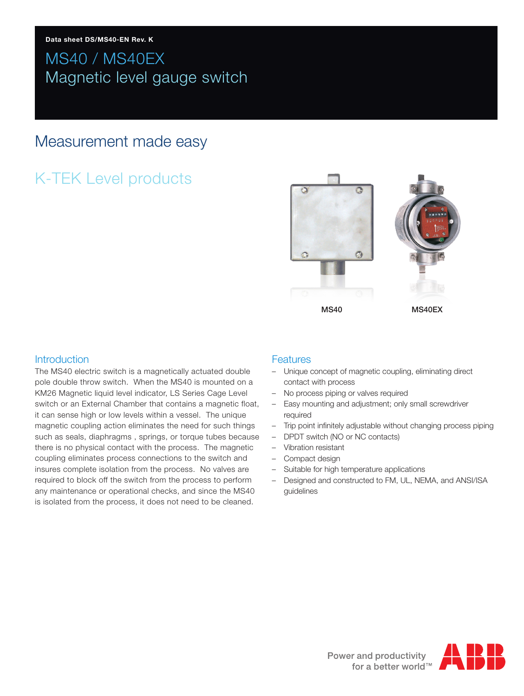# MS40 / MS40EX Magnetic level gauge switch

## Measurement made easy

# K-TEK Level products



## Introduction

The MS40 electric switch is a magnetically actuated double pole double throw switch. When the MS40 is mounted on a KM26 Magnetic liquid level indicator, LS Series Cage Level switch or an External Chamber that contains a magnetic float, it can sense high or low levels within a vessel. The unique magnetic coupling action eliminates the need for such things such as seals, diaphragms , springs, or torque tubes because there is no physical contact with the process. The magnetic coupling eliminates process connections to the switch and insures complete isolation from the process. No valves are required to block off the switch from the process to perform any maintenance or operational checks, and since the MS40 is isolated from the process, it does not need to be cleaned.

### **Features**

- Unique concept of magnetic coupling, eliminating direct contact with process
- No process piping or valves required
- Easy mounting and adjustment; only small screwdriver required
- Trip point infinitely adjustable without changing process piping
- DPDT switch (NO or NC contacts)
- Vibration resistant
- Compact design
- Suitable for high temperature applications
- Designed and constructed to FM, UL, NEMA, and ANSI/ISA guidelines

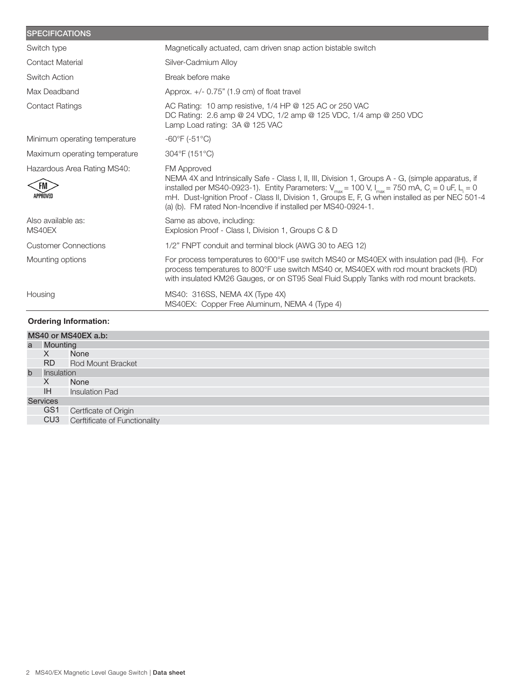| <b>SPECIFICATIONS</b>                                |                                                                                                                                                                                                                                                                                                                                                                                                                         |
|------------------------------------------------------|-------------------------------------------------------------------------------------------------------------------------------------------------------------------------------------------------------------------------------------------------------------------------------------------------------------------------------------------------------------------------------------------------------------------------|
| Switch type                                          | Magnetically actuated, cam driven snap action bistable switch                                                                                                                                                                                                                                                                                                                                                           |
| <b>Contact Material</b>                              | Silver-Cadmium Alloy                                                                                                                                                                                                                                                                                                                                                                                                    |
| <b>Switch Action</b>                                 | Break before make                                                                                                                                                                                                                                                                                                                                                                                                       |
| Max Deadband                                         | Approx. $+/- 0.75$ " (1.9 cm) of float travel                                                                                                                                                                                                                                                                                                                                                                           |
| <b>Contact Ratings</b>                               | AC Rating: 10 amp resistive, 1/4 HP @ 125 AC or 250 VAC<br>DC Rating: 2.6 amp @ 24 VDC, 1/2 amp @ 125 VDC, 1/4 amp @ 250 VDC<br>Lamp Load rating: 3A @ 125 VAC                                                                                                                                                                                                                                                          |
| Minimum operating temperature                        | $-60^{\circ}$ F ( $-51^{\circ}$ C)                                                                                                                                                                                                                                                                                                                                                                                      |
| Maximum operating temperature                        | 304°F (151°C)                                                                                                                                                                                                                                                                                                                                                                                                           |
| Hazardous Area Rating MS40:<br><b>FM</b><br>APPROVED | FM Approved<br>NEMA 4X and Intrinsically Safe - Class I, II, III, Division 1, Groups A - G, (simple apparatus, if<br>installed per MS40-0923-1). Entity Parameters: $V_{max}$ = 100 V, $I_{max}$ = 750 mA, C <sub>i</sub> = 0 uF, L <sub>i</sub> = 0<br>mH. Dust-Ignition Proof - Class II, Division 1, Groups E, F, G when installed as per NEC 501-4<br>(a) (b). FM rated Non-Incendive if installed per MS40-0924-1. |
| Also available as:<br>MS40EX                         | Same as above, including:<br>Explosion Proof - Class I, Division 1, Groups C & D                                                                                                                                                                                                                                                                                                                                        |
| <b>Customer Connections</b>                          | 1/2" FNPT conduit and terminal block (AWG 30 to AEG 12)                                                                                                                                                                                                                                                                                                                                                                 |
| Mounting options                                     | For process temperatures to 600°F use switch MS40 or MS40EX with insulation pad (IH). For<br>process temperatures to 800°F use switch MS40 or, MS40EX with rod mount brackets (RD)<br>with insulated KM26 Gauges, or on ST95 Seal Fluid Supply Tanks with rod mount brackets.                                                                                                                                           |
| Housing                                              | MS40: 316SS, NEMA 4X (Type 4X)<br>MS40EX: Copper Free Aluminum, NEMA 4 (Type 4)                                                                                                                                                                                                                                                                                                                                         |
| <b>Ordering Information:</b>                         |                                                                                                                                                                                                                                                                                                                                                                                                                         |

#### MS40 or MS40EX a.b: a Mounting<br>X No X None<br>RD Rod M Rod Mount Bracket b Insulation<br>X No X None<br>IH Insulat Insulation Pad Services GS1 Certficate of Origin CU3 Cerftificate of Functionality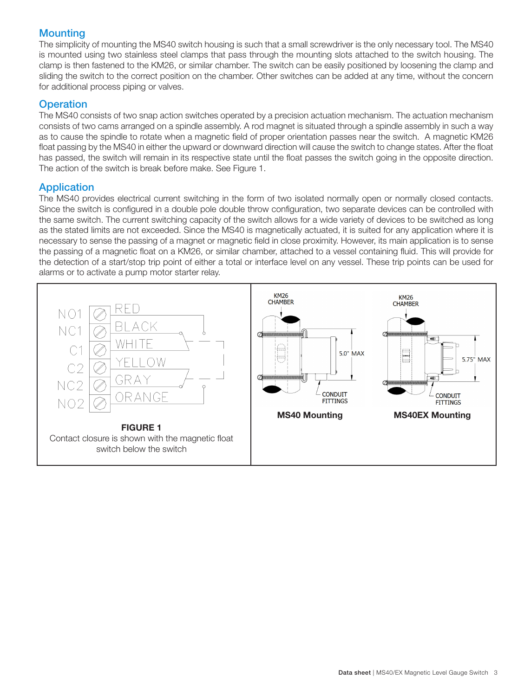## **Mounting**

The simplicity of mounting the MS40 switch housing is such that a small screwdriver is the only necessary tool. The MS40 is mounted using two stainless steel clamps that pass through the mounting slots attached to the switch housing. The clamp is then fastened to the KM26, or similar chamber. The switch can be easily positioned by loosening the clamp and sliding the switch to the correct position on the chamber. Other switches can be added at any time, without the concern for additional process piping or valves.

## **Operation**

The MS40 consists of two snap action switches operated by a precision actuation mechanism. The actuation mechanism consists of two cams arranged on a spindle assembly. A rod magnet is situated through a spindle assembly in such a way as to cause the spindle to rotate when a magnetic field of proper orientation passes near the switch. A magnetic KM26 float passing by the MS40 in either the upward or downward direction will cause the switch to change states. After the float has passed, the switch will remain in its respective state until the float passes the switch going in the opposite direction. The action of the switch is break before make. See Figure 1.

## Application

The MS40 provides electrical current switching in the form of two isolated normally open or normally closed contacts. Since the switch is configured in a double pole double throw configuration, two separate devices can be controlled with the same switch. The current switching capacity of the switch allows for a wide variety of devices to be switched as long as the stated limits are not exceeded. Since the MS40 is magnetically actuated, it is suited for any application where it is necessary to sense the passing of a magnet or magnetic field in close proximity. However, its main application is to sense the passing of a magnetic float on a KM26, or similar chamber, attached to a vessel containing fluid. This will provide for the detection of a start/stop trip point of either a total or interface level on any vessel. These trip points can be used for alarms or to activate a pump motor starter relay.